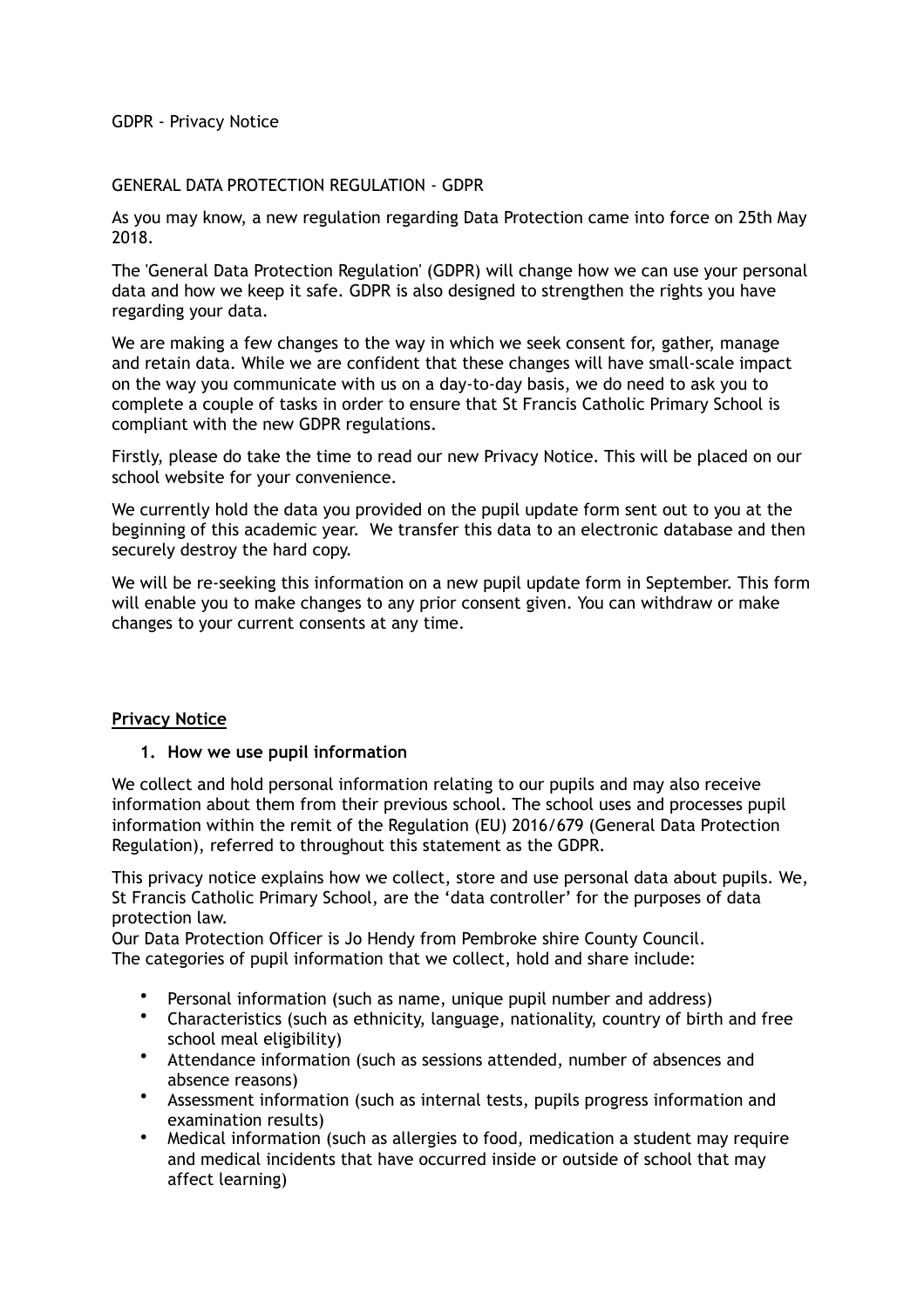# GDPR - Privacy Notice

### GENERAL DATA PROTECTION REGULATION - GDPR

As you may know, a new regulation regarding Data Protection came into force on 25th May 2018.

The 'General Data Protection Regulation' (GDPR) will change how we can use your personal data and how we keep it safe. GDPR is also designed to strengthen the rights you have regarding your data.

We are making a few changes to the way in which we seek consent for, gather, manage and retain data. While we are confident that these changes will have small-scale impact on the way you communicate with us on a day-to-day basis, we do need to ask you to complete a couple of tasks in order to ensure that St Francis Catholic Primary School is compliant with the new GDPR regulations.

Firstly, please do take the time to read our new Privacy Notice. This will be placed on our school website for your convenience.

We currently hold the data you provided on the pupil update form sent out to you at the beginning of this academic year. We transfer this data to an electronic database and then securely destroy the hard copy.

We will be re-seeking this information on a new pupil update form in September. This form will enable you to make changes to any prior consent given. You can withdraw or make changes to your current consents at any time.

### **Privacy Notice**

### **1. How we use pupil information**

We collect and hold personal information relating to our pupils and may also receive information about them from their previous school. The school uses and processes pupil information within the remit of the Regulation (EU) 2016/679 (General Data Protection Regulation), referred to throughout this statement as the GDPR.

This privacy notice explains how we collect, store and use personal data about pupils. We, St Francis Catholic Primary School, are the 'data controller' for the purposes of data protection law.

Our Data Protection Officer is Jo Hendy from Pembroke shire County Council. The categories of pupil information that we collect, hold and share include:

- Personal information (such as name, unique pupil number and address)
- Characteristics (such as ethnicity, language, nationality, country of birth and free school meal eligibility)
- Attendance information (such as sessions attended, number of absences and absence reasons)
- Assessment information (such as internal tests, pupils progress information and examination results)
- Medical information (such as allergies to food, medication a student may require and medical incidents that have occurred inside or outside of school that may affect learning)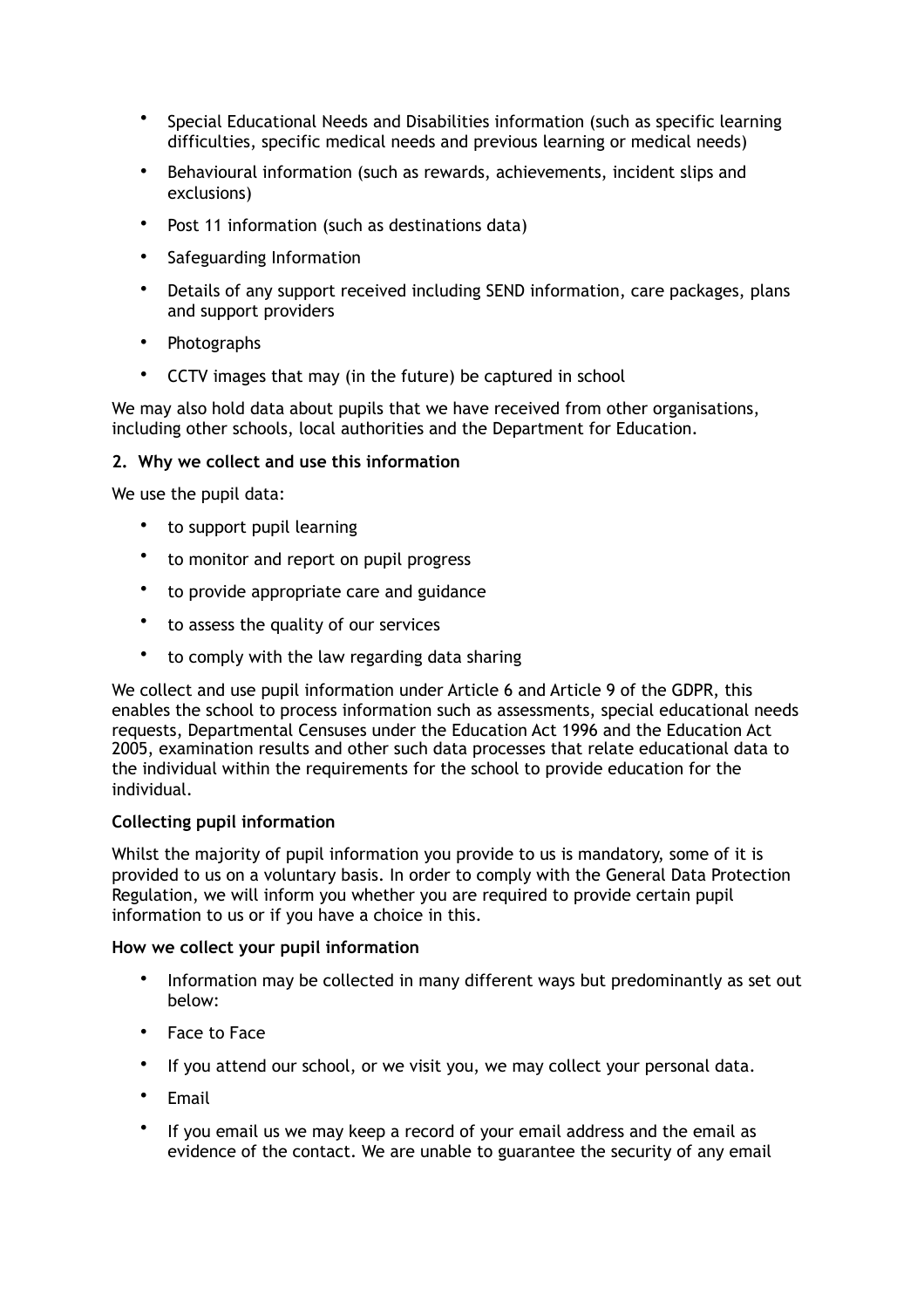- Special Educational Needs and Disabilities information (such as specific learning difficulties, specific medical needs and previous learning or medical needs)
- Behavioural information (such as rewards, achievements, incident slips and exclusions)
- Post 11 information (such as destinations data)
- Safeguarding Information
- Details of any support received including SEND information, care packages, plans and support providers
- Photographs
- CCTV images that may (in the future) be captured in school

We may also hold data about pupils that we have received from other organisations, including other schools, local authorities and the Department for Education.

# **2. Why we collect and use this information**

We use the pupil data:

- to support pupil learning
- to monitor and report on pupil progress
- to provide appropriate care and guidance
- to assess the quality of our services
- to comply with the law regarding data sharing

We collect and use pupil information under Article 6 and Article 9 of the GDPR, this enables the school to process information such as assessments, special educational needs requests, Departmental Censuses under the Education Act 1996 and the Education Act 2005, examination results and other such data processes that relate educational data to the individual within the requirements for the school to provide education for the individual.

# **Collecting pupil information**

Whilst the majority of pupil information you provide to us is mandatory, some of it is provided to us on a voluntary basis. In order to comply with the General Data Protection Regulation, we will inform you whether you are required to provide certain pupil information to us or if you have a choice in this.

### **How we collect your pupil information**

- Information may be collected in many different ways but predominantly as set out below:
- Face to Face
- If you attend our school, or we visit you, we may collect your personal data.
- Email
- If you email us we may keep a record of your email address and the email as evidence of the contact. We are unable to guarantee the security of any email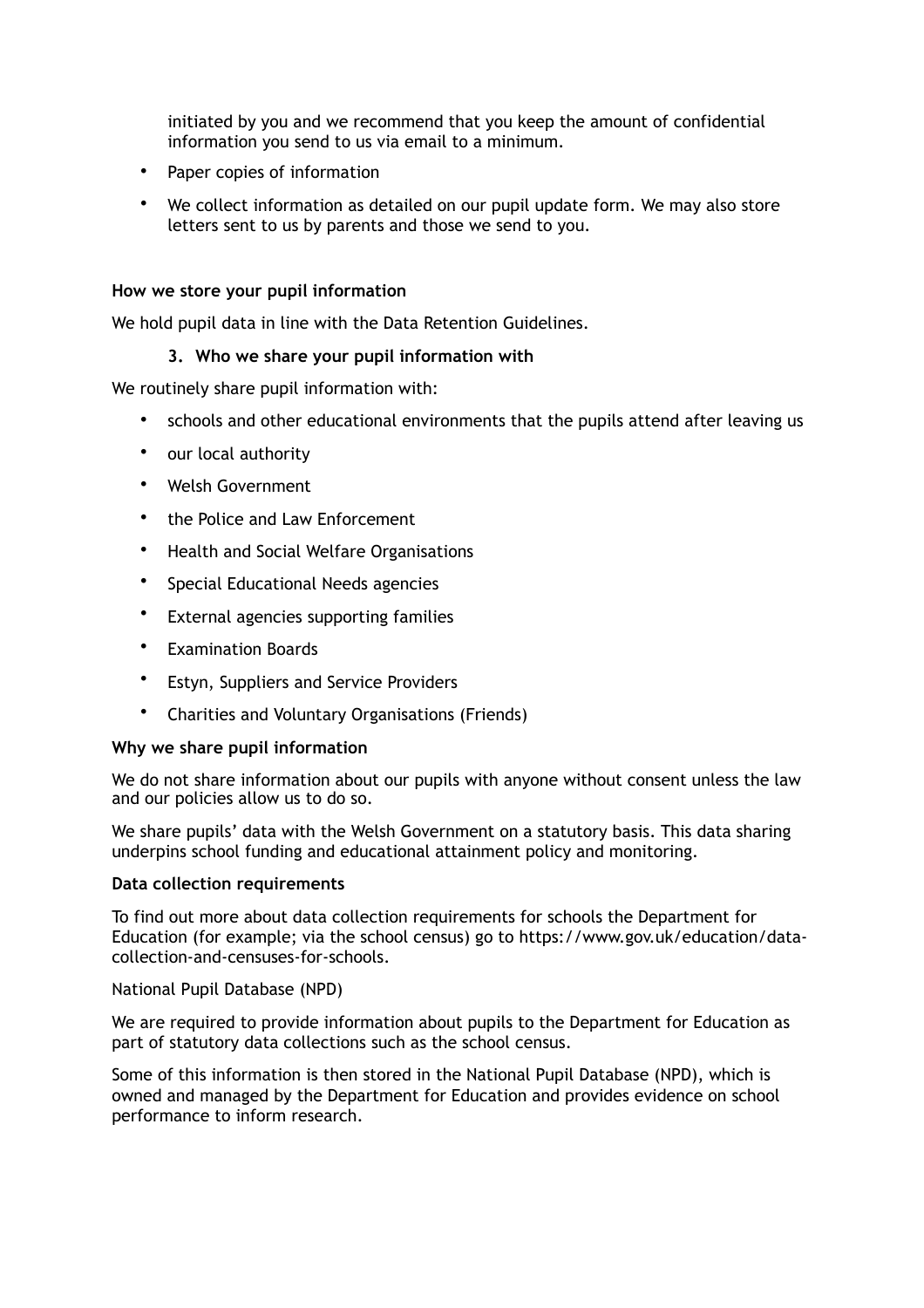initiated by you and we recommend that you keep the amount of confidential information you send to us via email to a minimum.

- Paper copies of information
- We collect information as detailed on our pupil update form. We may also store letters sent to us by parents and those we send to you.

## **How we store your pupil information**

We hold pupil data in line with the Data Retention Guidelines.

# **3. Who we share your pupil information with**

We routinely share pupil information with:

- schools and other educational environments that the pupils attend after leaving us
- our local authority
- Welsh Government
- the Police and Law Enforcement
- Health and Social Welfare Organisations
- Special Educational Needs agencies
- External agencies supporting families
- Examination Boards
- Estyn, Suppliers and Service Providers
- Charities and Voluntary Organisations (Friends)

# **Why we share pupil information**

We do not share information about our pupils with anyone without consent unless the law and our policies allow us to do so.

We share pupils' data with the Welsh Government on a statutory basis. This data sharing underpins school funding and educational attainment policy and monitoring.

### **Data collection requirements**

To find out more about data collection requirements for schools the Department for Education (for example; via the school census) go to https://www.gov.uk/education/datacollection-and-censuses-for-schools.

# National Pupil Database (NPD)

We are required to provide information about pupils to the Department for Education as part of statutory data collections such as the school census.

Some of this information is then stored in the National Pupil Database (NPD), which is owned and managed by the Department for Education and provides evidence on school performance to inform research.